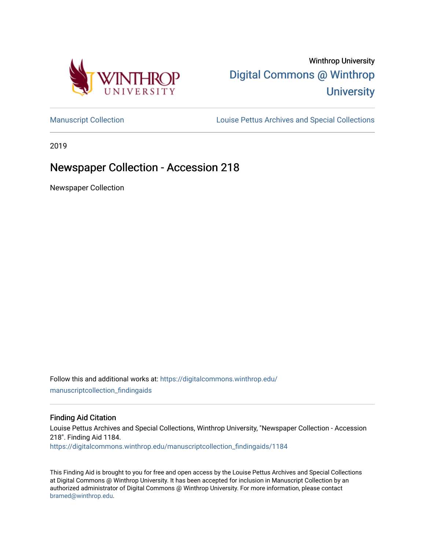

# Winthrop University [Digital Commons @ Winthrop](https://digitalcommons.winthrop.edu/)  **University**

[Manuscript Collection](https://digitalcommons.winthrop.edu/manuscriptcollection_findingaids) **Louise Pettus Archives and Special Collections** 

2019

# Newspaper Collection - Accession 218

Newspaper Collection

Follow this and additional works at: [https://digitalcommons.winthrop.edu/](https://digitalcommons.winthrop.edu/manuscriptcollection_findingaids?utm_source=digitalcommons.winthrop.edu%2Fmanuscriptcollection_findingaids%2F1184&utm_medium=PDF&utm_campaign=PDFCoverPages) [manuscriptcollection\\_findingaids](https://digitalcommons.winthrop.edu/manuscriptcollection_findingaids?utm_source=digitalcommons.winthrop.edu%2Fmanuscriptcollection_findingaids%2F1184&utm_medium=PDF&utm_campaign=PDFCoverPages) 

### Finding Aid Citation

Louise Pettus Archives and Special Collections, Winthrop University, "Newspaper Collection - Accession 218". Finding Aid 1184.

[https://digitalcommons.winthrop.edu/manuscriptcollection\\_findingaids/1184](https://digitalcommons.winthrop.edu/manuscriptcollection_findingaids/1184?utm_source=digitalcommons.winthrop.edu%2Fmanuscriptcollection_findingaids%2F1184&utm_medium=PDF&utm_campaign=PDFCoverPages) 

This Finding Aid is brought to you for free and open access by the Louise Pettus Archives and Special Collections at Digital Commons @ Winthrop University. It has been accepted for inclusion in Manuscript Collection by an authorized administrator of Digital Commons @ Winthrop University. For more information, please contact [bramed@winthrop.edu.](mailto:bramed@winthrop.edu)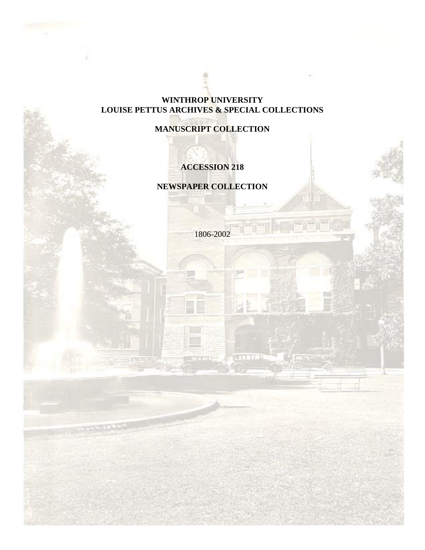### **WINTHROP UNIVERSITY LOUISE PETTUS ARCHIVES & SPECIAL COLLECTIONS**

## **MANUSCRIPT COLLECTION**

## **ACCESSION 218**

**NEWSPAPER COLLECTION**

1806-2002

**CONTROL**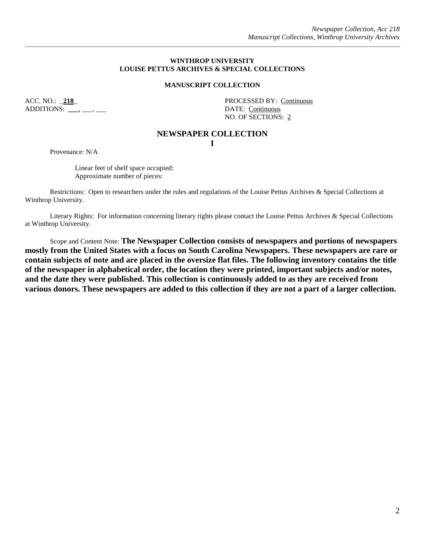### **WINTHROP UNIVERSITY LOUISE PETTUS ARCHIVES & SPECIAL COLLECTIONS**

### **MANUSCRIPT COLLECTION**

ADDITIONS: \_\_\_\_, \_\_\_, \_\_\_

ACC. NO.: **218** PROCESSED BY: Continuous NO. OF SECTIONS: 2

### **NEWSPAPER COLLECTION**

**I**

Provenance: N/A

Linear feet of shelf space occupied: Approximate number of pieces:

Restrictions: Open to researchers under the rules and regulations of the Louise Pettus Archives & Special Collections at Winthrop University.

Literary Rights: For information concerning literary rights please contact the Louise Pettus Archives & Special Collections at Winthrop University.

Scope and Content Note: **The Newspaper Collection consists of newspapers and portions of newspapers mostly from the United States with a focus on South Carolina Newspapers. These newspapers are rare or contain subjects of note and are placed in the oversize flat files. The following inventory contains the title of the newspaper in alphabetical order, the location they were printed, important subjects and/or notes, and the date they were published. This collection is continuously added to as they are received from various donors. These newspapers are added to this collection if they are not a part of a larger collection.**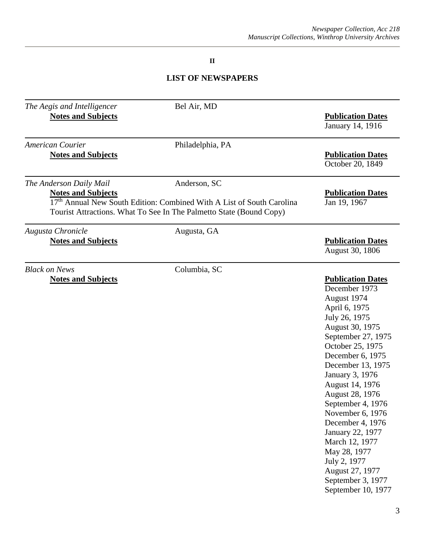### **II**

# **LIST OF NEWSPAPERS**

| The Aegis and Intelligencer<br><b>Notes and Subjects</b> | Bel Air, MD                                                                                                                                                              | <b>Publication Dates</b><br>January 14, 1916                                                                                                                                                                                                                                                                                                                                                                                                               |
|----------------------------------------------------------|--------------------------------------------------------------------------------------------------------------------------------------------------------------------------|------------------------------------------------------------------------------------------------------------------------------------------------------------------------------------------------------------------------------------------------------------------------------------------------------------------------------------------------------------------------------------------------------------------------------------------------------------|
| <b>American Courier</b><br><b>Notes and Subjects</b>     | Philadelphia, PA                                                                                                                                                         | <b>Publication Dates</b><br>October 20, 1849                                                                                                                                                                                                                                                                                                                                                                                                               |
| The Anderson Daily Mail<br><b>Notes and Subjects</b>     | Anderson, SC<br>17 <sup>th</sup> Annual New South Edition: Combined With A List of South Carolina<br>Tourist Attractions. What To See In The Palmetto State (Bound Copy) | <b>Publication Dates</b><br>Jan 19, 1967                                                                                                                                                                                                                                                                                                                                                                                                                   |
| Augusta Chronicle<br><b>Notes and Subjects</b>           | Augusta, GA                                                                                                                                                              | <b>Publication Dates</b><br>August 30, 1806                                                                                                                                                                                                                                                                                                                                                                                                                |
| <b>Black on News</b><br><b>Notes and Subjects</b>        | Columbia, SC                                                                                                                                                             | <b>Publication Dates</b><br>December 1973<br>August 1974<br>April 6, 1975<br>July 26, 1975<br>August 30, 1975<br>September 27, 1975<br>October 25, 1975<br>December 6, 1975<br>December 13, 1975<br>January 3, 1976<br>August 14, 1976<br>August 28, 1976<br>September 4, 1976<br>November 6, 1976<br>December 4, 1976<br>January 22, 1977<br>March 12, 1977<br>May 28, 1977<br>July 2, 1977<br>August 27, 1977<br>September 3, 1977<br>September 10, 1977 |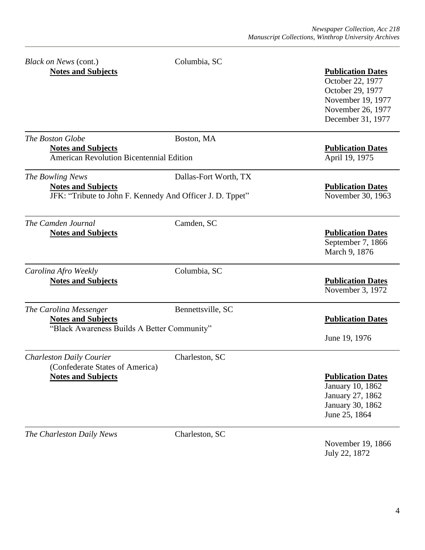| Black on News (cont.)<br><b>Notes and Subjects</b>                                                         | Columbia, SC          | <b>Publication Dates</b><br>October 22, 1977<br>October 29, 1977<br>November 19, 1977<br>November 26, 1977<br>December 31, 1977 |
|------------------------------------------------------------------------------------------------------------|-----------------------|---------------------------------------------------------------------------------------------------------------------------------|
| The Boston Globe<br><b>Notes and Subjects</b><br>American Revolution Bicentennial Edition                  | Boston, MA            | <b>Publication Dates</b><br>April 19, 1975                                                                                      |
| The Bowling News<br><b>Notes and Subjects</b><br>JFK: "Tribute to John F. Kennedy And Officer J. D. Tppet" | Dallas-Fort Worth, TX | <b>Publication Dates</b><br>November 30, 1963                                                                                   |
| The Camden Journal<br><b>Notes and Subjects</b>                                                            | Camden, SC            | <b>Publication Dates</b><br>September 7, 1866<br>March 9, 1876                                                                  |
| Carolina Afro Weekly<br><b>Notes and Subjects</b>                                                          | Columbia, SC          | <b>Publication Dates</b><br>November 3, 1972                                                                                    |
| The Carolina Messenger<br><b>Notes and Subjects</b><br>"Black Awareness Builds A Better Community"         | Bennettsville, SC     | <b>Publication Dates</b><br>June 19, 1976                                                                                       |
| <b>Charleston Daily Courier</b><br>(Confederate States of America)<br><b>Notes and Subjects</b>            | Charleston, SC        | <b>Publication Dates</b><br>January 10, 1862<br>January 27, 1862<br>January 30, 1862<br>June 25, 1864                           |
| The Charleston Daily News                                                                                  | Charleston, SC        |                                                                                                                                 |

November 19, 1866 July 22, 1872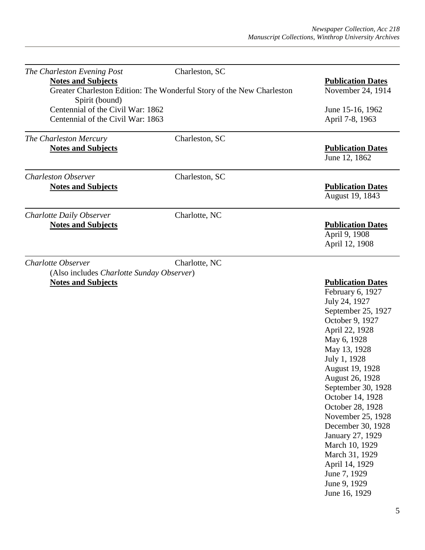| The Charleston Evening Post                                            | Charleston, SC                                                        |                                                                                                                                                                                                                                                                                                                                                                                                                                                  |
|------------------------------------------------------------------------|-----------------------------------------------------------------------|--------------------------------------------------------------------------------------------------------------------------------------------------------------------------------------------------------------------------------------------------------------------------------------------------------------------------------------------------------------------------------------------------------------------------------------------------|
| <b>Notes and Subjects</b><br>Spirit (bound)                            | Greater Charleston Edition: The Wonderful Story of the New Charleston | <b>Publication Dates</b><br>November 24, 1914                                                                                                                                                                                                                                                                                                                                                                                                    |
| Centennial of the Civil War: 1862<br>Centennial of the Civil War: 1863 |                                                                       | June 15-16, 1962<br>April 7-8, 1963                                                                                                                                                                                                                                                                                                                                                                                                              |
| The Charleston Mercury<br><b>Notes and Subjects</b>                    | Charleston, SC                                                        | <b>Publication Dates</b><br>June 12, 1862                                                                                                                                                                                                                                                                                                                                                                                                        |
| <b>Charleston Observer</b><br><b>Notes and Subjects</b>                | Charleston, SC                                                        | <b>Publication Dates</b><br>August 19, 1843                                                                                                                                                                                                                                                                                                                                                                                                      |
| Charlotte Daily Observer                                               | Charlotte, NC                                                         |                                                                                                                                                                                                                                                                                                                                                                                                                                                  |
| <b>Notes and Subjects</b>                                              |                                                                       | <b>Publication Dates</b><br>April 9, 1908<br>April 12, 1908                                                                                                                                                                                                                                                                                                                                                                                      |
| Charlotte Observer<br>(Also includes Charlotte Sunday Observer)        | Charlotte, NC                                                         |                                                                                                                                                                                                                                                                                                                                                                                                                                                  |
| <b>Notes and Subjects</b>                                              |                                                                       | <b>Publication Dates</b><br>February 6, 1927<br>July 24, 1927<br>September 25, 1927<br>October 9, 1927<br>April 22, 1928<br>May 6, 1928<br>May 13, 1928<br>July 1, 1928<br>August 19, 1928<br>August 26, 1928<br>September 30, 1928<br>October 14, 1928<br>October 28, 1928<br>November 25, 1928<br>December 30, 1928<br>January 27, 1929<br>March 10, 1929<br>March 31, 1929<br>April 14, 1929<br>June 7, 1929<br>June 9, 1929<br>June 16, 1929 |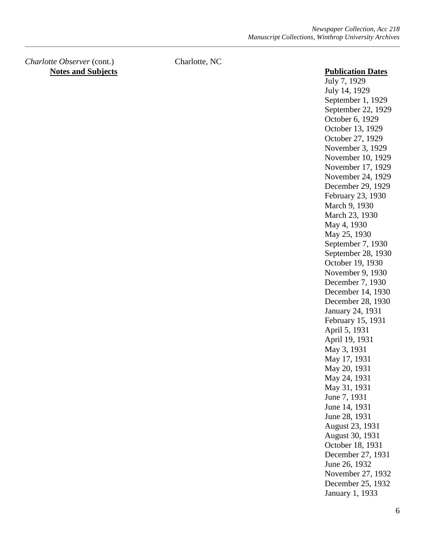*Charlotte Observer* (cont.) Charlotte, NC **Notes and Subjects Publication Dates** 

July 7, 1929 July 14, 1929 September 1, 1929 September 22, 1929 October 6, 1929 October 13, 1929 October 27, 1929 November 3, 1929 November 10, 1929 November 17, 1929 November 24, 1929 December 29, 1929 February 23, 1930 March 9, 1930 March 23, 1930 May 4, 1930 May 25, 1930 September 7, 1930 September 28, 1930 October 19, 1930 November 9, 1930 December 7, 1930 December 14, 1930 December 28, 1930 January 24, 1931 February 15, 1931 April 5, 1931 April 19, 1931 May 3, 1931 May 17, 1931 May 20, 1931 May 24, 1931 May 31, 1931 June 7, 1931 June 14, 1931 June 28, 1931 August 23, 1931 August 30, 1931 October 18, 1931 December 27, 1931 June 26, 1932 November 27, 1932 December 25, 1932 January 1, 1933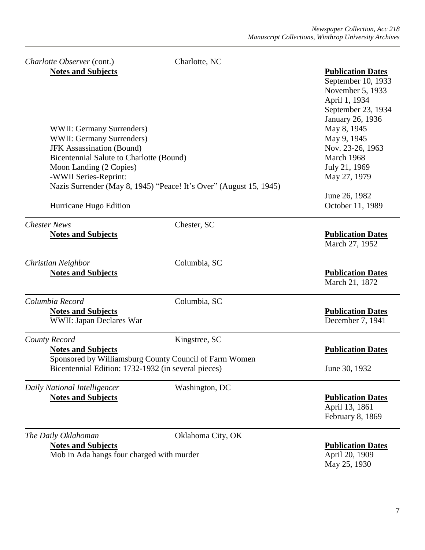| Charlotte Observer (cont.)                                                          | Charlotte, NC                                                      |                                                                                                                                                             |
|-------------------------------------------------------------------------------------|--------------------------------------------------------------------|-------------------------------------------------------------------------------------------------------------------------------------------------------------|
| <b>Notes and Subjects</b><br>WWII: Germany Surrenders)<br>WWII: Germany Surrenders) |                                                                    | <b>Publication Dates</b><br>September 10, 1933<br>November 5, 1933<br>April 1, 1934<br>September 23, 1934<br>January 26, 1936<br>May 8, 1945<br>May 9, 1945 |
| <b>JFK Assassination (Bound)</b>                                                    |                                                                    | Nov. 23-26, 1963                                                                                                                                            |
| Bicentennial Salute to Charlotte (Bound)                                            |                                                                    | March 1968                                                                                                                                                  |
| Moon Landing (2 Copies)                                                             |                                                                    | July 21, 1969                                                                                                                                               |
| -WWII Series-Reprint:                                                               |                                                                    | May 27, 1979                                                                                                                                                |
|                                                                                     | Nazis Surrender (May 8, 1945) "Peace! It's Over" (August 15, 1945) |                                                                                                                                                             |
| Hurricane Hugo Edition                                                              |                                                                    | June 26, 1982<br>October 11, 1989                                                                                                                           |
| <b>Chester News</b>                                                                 | Chester, SC                                                        |                                                                                                                                                             |
| <b>Notes and Subjects</b>                                                           |                                                                    | <b>Publication Dates</b><br>March 27, 1952                                                                                                                  |
| Christian Neighbor                                                                  | Columbia, SC                                                       |                                                                                                                                                             |
| <b>Notes and Subjects</b>                                                           |                                                                    | <b>Publication Dates</b><br>March 21, 1872                                                                                                                  |
| Columbia Record                                                                     | Columbia, SC                                                       |                                                                                                                                                             |
| <b>Notes and Subjects</b><br>WWII: Japan Declares War                               |                                                                    | <b>Publication Dates</b><br>December 7, 1941                                                                                                                |
| County Record                                                                       | Kingstree, SC                                                      |                                                                                                                                                             |
| <b>Notes and Subjects</b>                                                           |                                                                    | <b>Publication Dates</b>                                                                                                                                    |
|                                                                                     | Sponsored by Williamsburg County Council of Farm Women             |                                                                                                                                                             |
| Bicentennial Edition: 1732-1932 (in several pieces)                                 |                                                                    | June 30, 1932                                                                                                                                               |
| Daily National Intelligencer                                                        | Washington, DC                                                     |                                                                                                                                                             |
| <b>Notes and Subjects</b>                                                           |                                                                    | <b>Publication Dates</b><br>April 13, 1861<br>February 8, 1869                                                                                              |
| The Daily Oklahoman                                                                 | Oklahoma City, OK                                                  |                                                                                                                                                             |
| <b>Notes and Subjects</b>                                                           |                                                                    | <b>Publication Dates</b>                                                                                                                                    |

Mob in Ada hangs four charged with murder April 20, 1909

May 25, 1930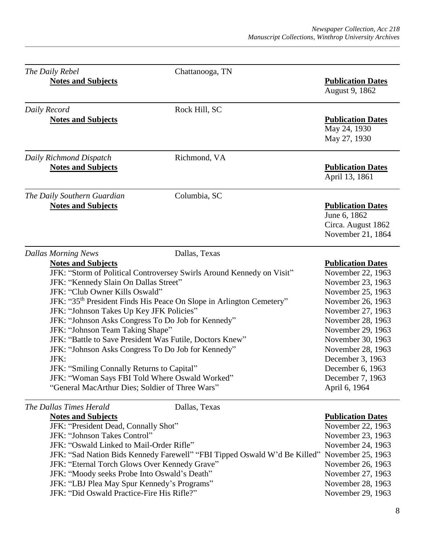|              | The Daily Rebel                                                                                                                                                                                                                                                                                                                                                                                                                                                                                                         | Chattanooga, TN                                                                                                                                           |                                                                                                                                                                                                                                                                                                    |
|--------------|-------------------------------------------------------------------------------------------------------------------------------------------------------------------------------------------------------------------------------------------------------------------------------------------------------------------------------------------------------------------------------------------------------------------------------------------------------------------------------------------------------------------------|-----------------------------------------------------------------------------------------------------------------------------------------------------------|----------------------------------------------------------------------------------------------------------------------------------------------------------------------------------------------------------------------------------------------------------------------------------------------------|
|              | <b>Notes and Subjects</b>                                                                                                                                                                                                                                                                                                                                                                                                                                                                                               |                                                                                                                                                           | <b>Publication Dates</b><br>August 9, 1862                                                                                                                                                                                                                                                         |
| Daily Record |                                                                                                                                                                                                                                                                                                                                                                                                                                                                                                                         | Rock Hill, SC                                                                                                                                             |                                                                                                                                                                                                                                                                                                    |
|              | <b>Notes and Subjects</b>                                                                                                                                                                                                                                                                                                                                                                                                                                                                                               |                                                                                                                                                           | <b>Publication Dates</b><br>May 24, 1930<br>May 27, 1930                                                                                                                                                                                                                                           |
|              | Daily Richmond Dispatch                                                                                                                                                                                                                                                                                                                                                                                                                                                                                                 | Richmond, VA                                                                                                                                              |                                                                                                                                                                                                                                                                                                    |
|              | <b>Notes and Subjects</b>                                                                                                                                                                                                                                                                                                                                                                                                                                                                                               |                                                                                                                                                           | <b>Publication Dates</b><br>April 13, 1861                                                                                                                                                                                                                                                         |
|              | The Daily Southern Guardian                                                                                                                                                                                                                                                                                                                                                                                                                                                                                             | Columbia, SC                                                                                                                                              |                                                                                                                                                                                                                                                                                                    |
|              | <b>Notes and Subjects</b>                                                                                                                                                                                                                                                                                                                                                                                                                                                                                               |                                                                                                                                                           | <b>Publication Dates</b><br>June 6, 1862<br>Circa. August 1862<br>November 21, 1864                                                                                                                                                                                                                |
|              | <b>Dallas Morning News</b>                                                                                                                                                                                                                                                                                                                                                                                                                                                                                              | Dallas, Texas                                                                                                                                             |                                                                                                                                                                                                                                                                                                    |
|              | <b>Notes and Subjects</b><br>JFK: "Kennedy Slain On Dallas Street"<br>JFK: "Club Owner Kills Oswald"<br>JFK: "Johnson Takes Up Key JFK Policies"<br>JFK: "Johnson Asks Congress To Do Job for Kennedy"<br>JFK: "Johnson Team Taking Shape"<br>JFK: "Battle to Save President Was Futile, Doctors Knew"<br>JFK: "Johnson Asks Congress To Do Job for Kennedy"<br>JFK:<br>JFK: "Smiling Connally Returns to Capital"<br>JFK: "Woman Says FBI Told Where Oswald Worked"<br>"General MacArthur Dies; Soldier of Three Wars" | JFK: "Storm of Political Controversey Swirls Around Kennedy on Visit"<br>JFK: "35 <sup>th</sup> President Finds His Peace On Slope in Arlington Cemetery" | <b>Publication Dates</b><br>November 22, 1963<br>November 23, 1963<br>November 25, 1963<br>November 26, 1963<br>November 27, 1963<br>November 28, 1963<br>November 29, 1963<br>November 30, 1963<br>November 28, 1963<br>December 3, 1963<br>December 6, 1963<br>December 7, 1963<br>April 6, 1964 |
|              | The Dallas Times Herald<br><b>Notes and Subjects</b><br>JFK: "President Dead, Connally Shot"<br>JFK: "Johnson Takes Control"<br>JFK: "Oswald Linked to Mail-Order Rifle"<br>JFK: "Eternal Torch Glows Over Kennedy Grave"<br>JFK: "Moody seeks Probe Into Oswald's Death"<br>JFK: "LBJ Plea May Spur Kennedy's Programs"<br>JFK: "Did Oswald Practice-Fire His Rifle?"                                                                                                                                                  | Dallas, Texas<br>JFK: "Sad Nation Bids Kennedy Farewell" "FBI Tipped Oswald W'd Be Killed"                                                                | <b>Publication Dates</b><br>November 22, 1963<br>November 23, 1963<br>November 24, 1963<br>November 25, 1963<br>November 26, 1963<br>November 27, 1963<br>November 28, 1963<br>November 29, 1963                                                                                                   |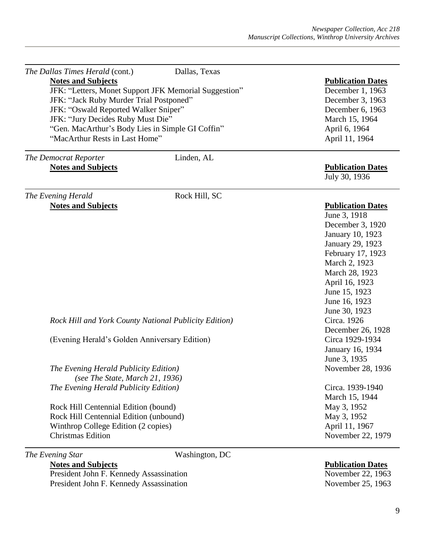| The Dallas Times Herald (cont.)               | Dallas, Texas                                         |                          |
|-----------------------------------------------|-------------------------------------------------------|--------------------------|
| <b>Notes and Subjects</b>                     |                                                       | <b>Publication Dates</b> |
|                                               | JFK: "Letters, Monet Support JFK Memorial Suggestion" | December 1, 1963         |
| JFK: "Jack Ruby Murder Trial Postponed"       |                                                       | December 3, 1963         |
| JFK: "Oswald Reported Walker Sniper"          |                                                       | December 6, 1963         |
| JFK: "Jury Decides Ruby Must Die"             |                                                       | March 15, 1964           |
|                                               | "Gen. MacArthur's Body Lies in Simple GI Coffin"      | April 6, 1964            |
| "MacArthur Rests in Last Home"                |                                                       | April 11, 1964           |
| The Democrat Reporter                         | Linden, AL                                            |                          |
| <b>Notes and Subjects</b>                     |                                                       | <b>Publication Dates</b> |
|                                               |                                                       | July 30, 1936            |
| The Evening Herald                            | Rock Hill, SC                                         |                          |
| <b>Notes and Subjects</b>                     |                                                       | <b>Publication Dates</b> |
|                                               |                                                       | June 3, 1918             |
|                                               |                                                       | December 3, 1920         |
|                                               |                                                       | January 10, 1923         |
|                                               |                                                       | January 29, 1923         |
|                                               |                                                       | February 17, 1923        |
|                                               |                                                       | March 2, 1923            |
|                                               |                                                       | March 28, 1923           |
|                                               |                                                       | April 16, 1923           |
|                                               |                                                       | June 15, 1923            |
|                                               |                                                       | June 16, 1923            |
|                                               |                                                       | June 30, 1923            |
|                                               | Rock Hill and York County National Publicity Edition) | Circa. 1926              |
|                                               |                                                       | December 26, 1928        |
| (Evening Herald's Golden Anniversary Edition) |                                                       | Circa 1929-1934          |
|                                               |                                                       | January 16, 1934         |
|                                               |                                                       | June 3, 1935             |
| The Evening Herald Publicity Edition)         |                                                       | November 28, 1936        |
| (see The State, March 21, 1936)               |                                                       |                          |
| The Evening Herald Publicity Edition)         |                                                       | Circa. 1939-1940         |
|                                               |                                                       | March 15, 1944           |
| Rock Hill Centennial Edition (bound)          |                                                       | May 3, 1952              |
| Rock Hill Centennial Edition (unbound)        |                                                       | May 3, 1952              |
| Winthrop College Edition (2 copies)           |                                                       | April 11, 1967           |
| <b>Christmas Edition</b>                      |                                                       | November 22, 1979        |
| The Evening Star                              | Washington, DC                                        |                          |

**Notes and Subjects Publication Dates** President John F. Kennedy Assassination November 22, 1963 President John F. Kennedy Assassination November 25, 1963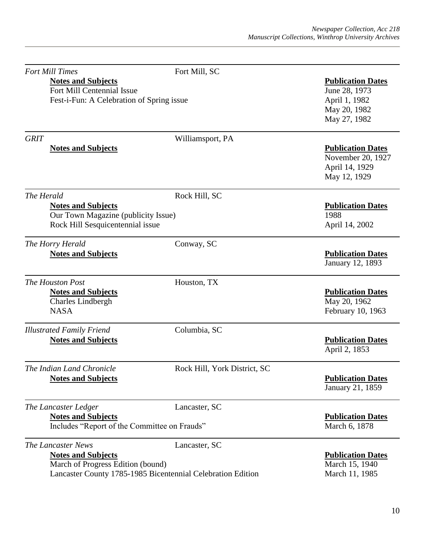| <b>Fort Mill Times</b><br><b>Notes and Subjects</b><br>Fort Mill Centennial Issue<br>Fest-i-Fun: A Celebration of Spring issue | Fort Mill, SC                                                                | <b>Publication Dates</b><br>June 28, 1973<br>April 1, 1982<br>May 20, 1982<br>May 27, 1982 |
|--------------------------------------------------------------------------------------------------------------------------------|------------------------------------------------------------------------------|--------------------------------------------------------------------------------------------|
| <b>GRIT</b><br><b>Notes and Subjects</b>                                                                                       | Williamsport, PA                                                             | <b>Publication Dates</b><br>November 20, 1927<br>April 14, 1929<br>May 12, 1929            |
| The Herald<br><b>Notes and Subjects</b><br>Our Town Magazine (publicity Issue)<br>Rock Hill Sesquicentennial issue             | Rock Hill, SC                                                                | <b>Publication Dates</b><br>1988<br>April 14, 2002                                         |
| The Horry Herald<br><b>Notes and Subjects</b>                                                                                  | Conway, SC                                                                   | <b>Publication Dates</b><br>January 12, 1893                                               |
| The Houston Post<br><b>Notes and Subjects</b><br><b>Charles Lindbergh</b><br><b>NASA</b>                                       | Houston, TX                                                                  | <b>Publication Dates</b><br>May 20, 1962<br>February 10, 1963                              |
| <b>Illustrated Family Friend</b><br><b>Notes and Subjects</b>                                                                  | Columbia, SC                                                                 | <b>Publication Dates</b><br>April 2, 1853                                                  |
| The Indian Land Chronicle<br><b>Notes and Subjects</b>                                                                         | Rock Hill, York District, SC                                                 | <b>Publication Dates</b><br>January 21, 1859                                               |
| The Lancaster Ledger<br><b>Notes and Subjects</b><br>Includes "Report of the Committee on Frauds"                              | Lancaster, SC                                                                | <b>Publication Dates</b><br>March 6, 1878                                                  |
| The Lancaster News<br><b>Notes and Subjects</b><br>March of Progress Edition (bound)                                           | Lancaster, SC<br>Lancaster County 1785-1985 Bicentennial Celebration Edition | <b>Publication Dates</b><br>March 15, 1940<br>March 11, 1985                               |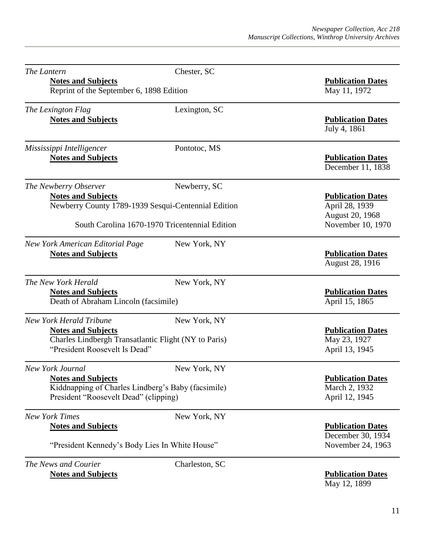| The Lantern                                                           | Chester, SC                                          |                                                               |
|-----------------------------------------------------------------------|------------------------------------------------------|---------------------------------------------------------------|
| <b>Notes and Subjects</b><br>Reprint of the September 6, 1898 Edition |                                                      | <b>Publication Dates</b><br>May 11, 1972                      |
| The Lexington Flag                                                    | Lexington, SC                                        |                                                               |
| <b>Notes and Subjects</b>                                             |                                                      | <b>Publication Dates</b><br>July 4, 1861                      |
| Mississippi Intelligencer                                             | Pontotoc, MS                                         |                                                               |
| <b>Notes and Subjects</b>                                             |                                                      | <b>Publication Dates</b><br>December 11, 1838                 |
| The Newberry Observer                                                 | Newberry, SC                                         |                                                               |
| <b>Notes and Subjects</b>                                             | Newberry County 1789-1939 Sesqui-Centennial Edition  | <b>Publication Dates</b><br>April 28, 1939<br>August 20, 1968 |
|                                                                       | South Carolina 1670-1970 Tricentennial Edition       | November 10, 1970                                             |
| New York American Editorial Page                                      | New York, NY                                         |                                                               |
| <b>Notes and Subjects</b>                                             |                                                      | <b>Publication Dates</b><br>August 28, 1916                   |
| The New York Herald                                                   | New York, NY                                         |                                                               |
| <b>Notes and Subjects</b><br>Death of Abraham Lincoln (facsimile)     |                                                      | <b>Publication Dates</b><br>April 15, 1865                    |
| <b>New York Herald Tribune</b>                                        | New York, NY                                         |                                                               |
| <b>Notes and Subjects</b><br>"President Roosevelt Is Dead"            | Charles Lindbergh Transatlantic Flight (NY to Paris) | <b>Publication Dates</b><br>May 23, 1927<br>April 13, 1945    |
| New York Journal                                                      | New York, NY                                         |                                                               |
| <b>Notes and Subjects</b>                                             |                                                      | <b>Publication Dates</b>                                      |
| President "Roosevelt Dead" (clipping)                                 | Kiddnapping of Charles Lindberg's Baby (facsimile)   | March 2, 1932<br>April 12, 1945                               |
| <b>New York Times</b>                                                 | New York, NY                                         |                                                               |
| <b>Notes and Subjects</b>                                             |                                                      | <b>Publication Dates</b>                                      |
|                                                                       | "President Kennedy's Body Lies In White House"       | December 30, 1934<br>November 24, 1963                        |
| The News and Courier                                                  | Charleston, SC                                       |                                                               |
| <b>Notes and Subjects</b>                                             |                                                      | <b>Publication Dates</b>                                      |

May 12, 1899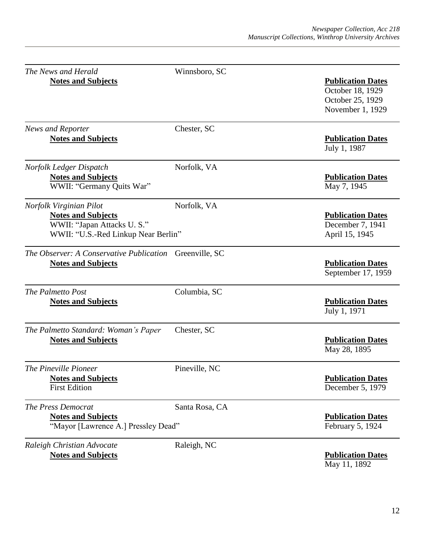| The News and Herald                                                                            | Winnsboro, SC  |                                                                                      |
|------------------------------------------------------------------------------------------------|----------------|--------------------------------------------------------------------------------------|
| <b>Notes and Subjects</b>                                                                      |                | <b>Publication Dates</b><br>October 18, 1929<br>October 25, 1929<br>November 1, 1929 |
| News and Reporter                                                                              | Chester, SC    |                                                                                      |
| <b>Notes and Subjects</b>                                                                      |                | <b>Publication Dates</b><br>July 1, 1987                                             |
| Norfolk Ledger Dispatch<br><b>Notes and Subjects</b><br>WWII: "Germany Quits War"              | Norfolk, VA    | <b>Publication Dates</b><br>May 7, 1945                                              |
| Norfolk Virginian Pilot                                                                        | Norfolk, VA    |                                                                                      |
| <b>Notes and Subjects</b><br>WWII: "Japan Attacks U.S."<br>WWII: "U.S.-Red Linkup Near Berlin" |                | <b>Publication Dates</b><br>December 7, 1941<br>April 15, 1945                       |
| The Observer: A Conservative Publication Greenville, SC<br><b>Notes and Subjects</b>           |                | <b>Publication Dates</b><br>September 17, 1959                                       |
| The Palmetto Post<br><b>Notes and Subjects</b>                                                 | Columbia, SC   | <b>Publication Dates</b><br>July 1, 1971                                             |
| The Palmetto Standard: Woman's Paper<br><b>Notes and Subjects</b>                              | Chester, SC    | <b>Publication Dates</b><br>May 28, 1895                                             |
| The Pineville Pioneer<br><b>Notes and Subjects</b><br><b>First Edition</b>                     | Pineville, NC  | <b>Publication Dates</b><br>December 5, 1979                                         |
| The Press Democrat<br><b>Notes and Subjects</b><br>"Mayor [Lawrence A.] Pressley Dead"         | Santa Rosa, CA | <b>Publication Dates</b><br>February 5, 1924                                         |
| Raleigh Christian Advocate<br><b>Notes and Subjects</b>                                        | Raleigh, NC    | <b>Publication Dates</b>                                                             |

May 11, 1892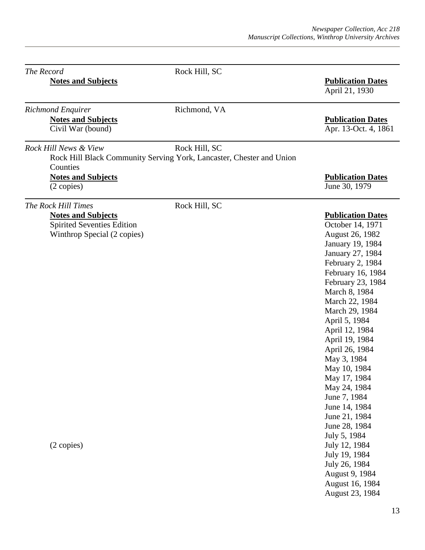| The Record                 |                                                                                                             | Rock Hill, SC                                                                         |                                                                                                                                                                                                                                                                                                                                                                                                                                                                                                                                             |
|----------------------------|-------------------------------------------------------------------------------------------------------------|---------------------------------------------------------------------------------------|---------------------------------------------------------------------------------------------------------------------------------------------------------------------------------------------------------------------------------------------------------------------------------------------------------------------------------------------------------------------------------------------------------------------------------------------------------------------------------------------------------------------------------------------|
|                            | <b>Notes and Subjects</b>                                                                                   |                                                                                       | <b>Publication Dates</b><br>April 21, 1930                                                                                                                                                                                                                                                                                                                                                                                                                                                                                                  |
| Richmond Enquirer          | <b>Notes and Subjects</b><br>Civil War (bound)                                                              | Richmond, VA                                                                          | <b>Publication Dates</b><br>Apr. 13-Oct. 4, 1861                                                                                                                                                                                                                                                                                                                                                                                                                                                                                            |
|                            | Rock Hill News & View<br>Counties                                                                           | Rock Hill, SC<br>Rock Hill Black Community Serving York, Lancaster, Chester and Union |                                                                                                                                                                                                                                                                                                                                                                                                                                                                                                                                             |
|                            | <b>Notes and Subjects</b><br>$(2 \text{ copies})$                                                           |                                                                                       | <b>Publication Dates</b><br>June 30, 1979                                                                                                                                                                                                                                                                                                                                                                                                                                                                                                   |
| <b>The Rock Hill Times</b> | <b>Notes and Subjects</b><br><b>Spirited Seventies Edition</b><br>Winthrop Special (2 copies)<br>(2 copies) | Rock Hill, SC                                                                         | <b>Publication Dates</b><br>October 14, 1971<br>August 26, 1982<br>January 19, 1984<br>January 27, 1984<br>February 2, 1984<br>February 16, 1984<br>February 23, 1984<br>March 8, 1984<br>March 22, 1984<br>March 29, 1984<br>April 5, 1984<br>April 12, 1984<br>April 19, 1984<br>April 26, 1984<br>May 3, 1984<br>May 10, 1984<br>May 17, 1984<br>May 24, 1984<br>June 7, 1984<br>June 14, 1984<br>June 21, 1984<br>June 28, 1984<br>July 5, 1984<br>July 12, 1984<br>July 19, 1984<br>July 26, 1984<br>August 9, 1984<br>August 16, 1984 |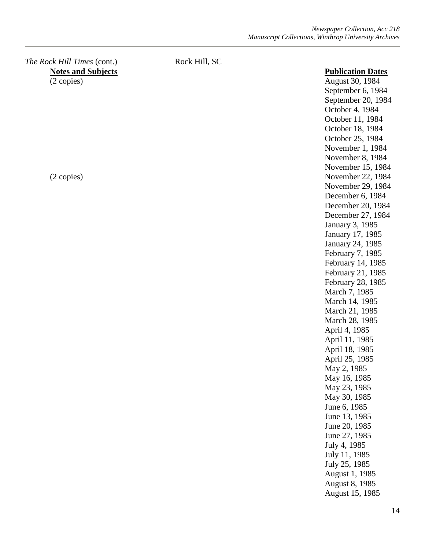### *The Rock Hill Times* (cont.) Rock Hill, SC **Notes and Subjects Publication Dates** (2 copies) August 30, 1984

September 6, 1984 September 20, 1984 October 4, 1984 October 11, 1984 October 18, 1984 October 25, 1984 November 1, 1984 November 8, 1984 November 15, 1984 (2 copies) November 22, 1984 November 29, 1984 December 6, 1984 December 20, 1984 December 27, 1984 January 3, 1985 January 17, 1985 January 24, 1985 February 7, 1985 February 14, 1985 February 21, 1985 February 28, 1985 March 7, 1985 March 14, 1985 March 21, 1985 March 28, 1985 April 4, 1985 April 11, 1985 April 18, 1985 April 25, 1985 May 2, 1985 May 16, 1985 May 23, 1985 May 30, 1985 June 6, 1985 June 13, 1985 June 20, 1985 June 27, 1985 July 4, 1985 July 11, 1985 July 25, 1985 August 1, 1985 August 8, 1985 August 15, 1985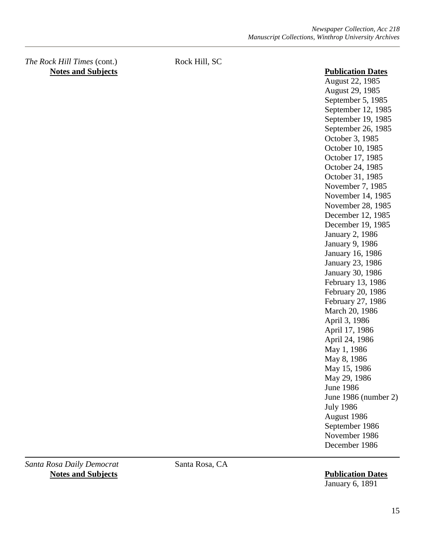*The Rock Hill Times* (cont.) Rock Hill, SC **Notes and Subjects Publication Dates** 

August 22, 1985 August 29, 1985 September 5, 1985 September 12, 1985 September 19, 1985 September 26, 1985 October 3, 1985 October 10, 1985 October 17, 1985 October 24, 1985 October 31, 1985 November 7, 1985 November 14, 1985 November 28, 1985 December 12, 1985 December 19, 1985 January 2, 1986 January 9, 1986 January 16, 1986 January 23, 1986 January 30, 1986 February 13, 1986 February 20, 1986 February 27, 1986 March 20, 1986 April 3, 1986 April 17, 1986 April 24, 1986 May 1, 1986 May 8, 1986 May 15, 1986 May 29, 1986 June 1986 June 1986 (number 2) July 1986 August 1986 September 1986 November 1986 December 1986

*Santa Rosa Daily Democrat* Santa Rosa, CA **Notes and Subjects Publication Dates**

January 6, 1891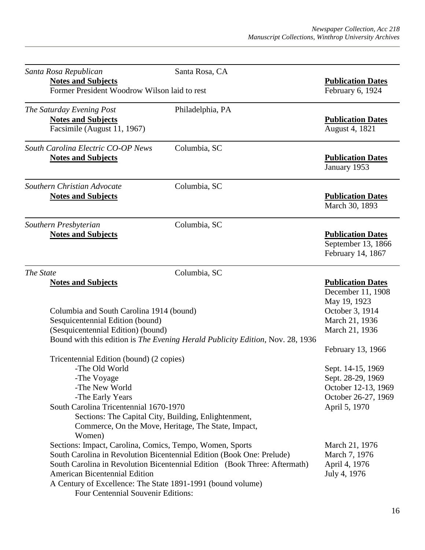| <b>Notes and Subjects</b><br><b>Publication Dates</b><br>Former President Woodrow Wilson laid to rest<br>February 6, 1924<br>Philadelphia, PA<br><b>Notes and Subjects</b><br><b>Publication Dates</b><br>Facsimile (August 11, 1967)<br>August 4, 1821<br>Columbia, SC<br><b>Notes and Subjects</b><br><b>Publication Dates</b><br>January 1953<br>Columbia, SC<br><b>Publication Dates</b><br><b>Notes and Subjects</b><br>March 30, 1893<br>Columbia, SC<br><b>Notes and Subjects</b><br><b>Publication Dates</b><br>September 13, 1866<br>February 14, 1867<br>Columbia, SC<br><b>Notes and Subjects</b><br><b>Publication Dates</b><br>December 11, 1908<br>May 19, 1923<br>October 3, 1914<br>Columbia and South Carolina 1914 (bound)<br>Sesquicentennial Edition (bound)<br>March 21, 1936<br>(Sesquicentennial Edition) (bound)<br>March 21, 1936<br>Bound with this edition is The Evening Herald Publicity Edition, Nov. 28, 1936<br>February 13, 1966<br>Tricentennial Edition (bound) (2 copies)<br>-The Old World<br>Sept. 14-15, 1969<br>-The Voyage<br>Sept. 28-29, 1969<br>-The New World<br>October 12-13, 1969<br>October 26-27, 1969<br>-The Early Years<br>South Carolina Tricentennial 1670-1970<br>April 5, 1970<br>Sections: The Capital City, Building, Enlightenment,<br>Commerce, On the Move, Heritage, The State, Impact,<br>Women)<br>Sections: Impact, Carolina, Comics, Tempo, Women, Sports<br>March 21, 1976<br>South Carolina in Revolution Bicentennial Edition (Book One: Prelude)<br>March 7, 1976<br>South Carolina in Revolution Bicentennial Edition (Book Three: Aftermath)<br>April 4, 1976<br><b>American Bicentennial Edition</b><br>July 4, 1976<br>A Century of Excellence: The State 1891-1991 (bound volume)<br>Four Centennial Souvenir Editions: | Santa Rosa Republican              | Santa Rosa, CA |  |
|-----------------------------------------------------------------------------------------------------------------------------------------------------------------------------------------------------------------------------------------------------------------------------------------------------------------------------------------------------------------------------------------------------------------------------------------------------------------------------------------------------------------------------------------------------------------------------------------------------------------------------------------------------------------------------------------------------------------------------------------------------------------------------------------------------------------------------------------------------------------------------------------------------------------------------------------------------------------------------------------------------------------------------------------------------------------------------------------------------------------------------------------------------------------------------------------------------------------------------------------------------------------------------------------------------------------------------------------------------------------------------------------------------------------------------------------------------------------------------------------------------------------------------------------------------------------------------------------------------------------------------------------------------------------------------------------------------------------------------------------------------------------------------------------------------|------------------------------------|----------------|--|
|                                                                                                                                                                                                                                                                                                                                                                                                                                                                                                                                                                                                                                                                                                                                                                                                                                                                                                                                                                                                                                                                                                                                                                                                                                                                                                                                                                                                                                                                                                                                                                                                                                                                                                                                                                                                     |                                    |                |  |
|                                                                                                                                                                                                                                                                                                                                                                                                                                                                                                                                                                                                                                                                                                                                                                                                                                                                                                                                                                                                                                                                                                                                                                                                                                                                                                                                                                                                                                                                                                                                                                                                                                                                                                                                                                                                     |                                    |                |  |
|                                                                                                                                                                                                                                                                                                                                                                                                                                                                                                                                                                                                                                                                                                                                                                                                                                                                                                                                                                                                                                                                                                                                                                                                                                                                                                                                                                                                                                                                                                                                                                                                                                                                                                                                                                                                     | The Saturday Evening Post          |                |  |
|                                                                                                                                                                                                                                                                                                                                                                                                                                                                                                                                                                                                                                                                                                                                                                                                                                                                                                                                                                                                                                                                                                                                                                                                                                                                                                                                                                                                                                                                                                                                                                                                                                                                                                                                                                                                     |                                    |                |  |
|                                                                                                                                                                                                                                                                                                                                                                                                                                                                                                                                                                                                                                                                                                                                                                                                                                                                                                                                                                                                                                                                                                                                                                                                                                                                                                                                                                                                                                                                                                                                                                                                                                                                                                                                                                                                     |                                    |                |  |
|                                                                                                                                                                                                                                                                                                                                                                                                                                                                                                                                                                                                                                                                                                                                                                                                                                                                                                                                                                                                                                                                                                                                                                                                                                                                                                                                                                                                                                                                                                                                                                                                                                                                                                                                                                                                     | South Carolina Electric CO-OP News |                |  |
|                                                                                                                                                                                                                                                                                                                                                                                                                                                                                                                                                                                                                                                                                                                                                                                                                                                                                                                                                                                                                                                                                                                                                                                                                                                                                                                                                                                                                                                                                                                                                                                                                                                                                                                                                                                                     |                                    |                |  |
|                                                                                                                                                                                                                                                                                                                                                                                                                                                                                                                                                                                                                                                                                                                                                                                                                                                                                                                                                                                                                                                                                                                                                                                                                                                                                                                                                                                                                                                                                                                                                                                                                                                                                                                                                                                                     | Southern Christian Advocate        |                |  |
|                                                                                                                                                                                                                                                                                                                                                                                                                                                                                                                                                                                                                                                                                                                                                                                                                                                                                                                                                                                                                                                                                                                                                                                                                                                                                                                                                                                                                                                                                                                                                                                                                                                                                                                                                                                                     |                                    |                |  |
|                                                                                                                                                                                                                                                                                                                                                                                                                                                                                                                                                                                                                                                                                                                                                                                                                                                                                                                                                                                                                                                                                                                                                                                                                                                                                                                                                                                                                                                                                                                                                                                                                                                                                                                                                                                                     | Southern Presbyterian              |                |  |
|                                                                                                                                                                                                                                                                                                                                                                                                                                                                                                                                                                                                                                                                                                                                                                                                                                                                                                                                                                                                                                                                                                                                                                                                                                                                                                                                                                                                                                                                                                                                                                                                                                                                                                                                                                                                     |                                    |                |  |
|                                                                                                                                                                                                                                                                                                                                                                                                                                                                                                                                                                                                                                                                                                                                                                                                                                                                                                                                                                                                                                                                                                                                                                                                                                                                                                                                                                                                                                                                                                                                                                                                                                                                                                                                                                                                     |                                    |                |  |
|                                                                                                                                                                                                                                                                                                                                                                                                                                                                                                                                                                                                                                                                                                                                                                                                                                                                                                                                                                                                                                                                                                                                                                                                                                                                                                                                                                                                                                                                                                                                                                                                                                                                                                                                                                                                     | The State                          |                |  |
|                                                                                                                                                                                                                                                                                                                                                                                                                                                                                                                                                                                                                                                                                                                                                                                                                                                                                                                                                                                                                                                                                                                                                                                                                                                                                                                                                                                                                                                                                                                                                                                                                                                                                                                                                                                                     |                                    |                |  |
|                                                                                                                                                                                                                                                                                                                                                                                                                                                                                                                                                                                                                                                                                                                                                                                                                                                                                                                                                                                                                                                                                                                                                                                                                                                                                                                                                                                                                                                                                                                                                                                                                                                                                                                                                                                                     |                                    |                |  |
|                                                                                                                                                                                                                                                                                                                                                                                                                                                                                                                                                                                                                                                                                                                                                                                                                                                                                                                                                                                                                                                                                                                                                                                                                                                                                                                                                                                                                                                                                                                                                                                                                                                                                                                                                                                                     |                                    |                |  |
|                                                                                                                                                                                                                                                                                                                                                                                                                                                                                                                                                                                                                                                                                                                                                                                                                                                                                                                                                                                                                                                                                                                                                                                                                                                                                                                                                                                                                                                                                                                                                                                                                                                                                                                                                                                                     |                                    |                |  |
|                                                                                                                                                                                                                                                                                                                                                                                                                                                                                                                                                                                                                                                                                                                                                                                                                                                                                                                                                                                                                                                                                                                                                                                                                                                                                                                                                                                                                                                                                                                                                                                                                                                                                                                                                                                                     |                                    |                |  |
|                                                                                                                                                                                                                                                                                                                                                                                                                                                                                                                                                                                                                                                                                                                                                                                                                                                                                                                                                                                                                                                                                                                                                                                                                                                                                                                                                                                                                                                                                                                                                                                                                                                                                                                                                                                                     |                                    |                |  |
|                                                                                                                                                                                                                                                                                                                                                                                                                                                                                                                                                                                                                                                                                                                                                                                                                                                                                                                                                                                                                                                                                                                                                                                                                                                                                                                                                                                                                                                                                                                                                                                                                                                                                                                                                                                                     |                                    |                |  |
|                                                                                                                                                                                                                                                                                                                                                                                                                                                                                                                                                                                                                                                                                                                                                                                                                                                                                                                                                                                                                                                                                                                                                                                                                                                                                                                                                                                                                                                                                                                                                                                                                                                                                                                                                                                                     |                                    |                |  |
|                                                                                                                                                                                                                                                                                                                                                                                                                                                                                                                                                                                                                                                                                                                                                                                                                                                                                                                                                                                                                                                                                                                                                                                                                                                                                                                                                                                                                                                                                                                                                                                                                                                                                                                                                                                                     |                                    |                |  |
|                                                                                                                                                                                                                                                                                                                                                                                                                                                                                                                                                                                                                                                                                                                                                                                                                                                                                                                                                                                                                                                                                                                                                                                                                                                                                                                                                                                                                                                                                                                                                                                                                                                                                                                                                                                                     |                                    |                |  |
|                                                                                                                                                                                                                                                                                                                                                                                                                                                                                                                                                                                                                                                                                                                                                                                                                                                                                                                                                                                                                                                                                                                                                                                                                                                                                                                                                                                                                                                                                                                                                                                                                                                                                                                                                                                                     |                                    |                |  |
|                                                                                                                                                                                                                                                                                                                                                                                                                                                                                                                                                                                                                                                                                                                                                                                                                                                                                                                                                                                                                                                                                                                                                                                                                                                                                                                                                                                                                                                                                                                                                                                                                                                                                                                                                                                                     |                                    |                |  |
|                                                                                                                                                                                                                                                                                                                                                                                                                                                                                                                                                                                                                                                                                                                                                                                                                                                                                                                                                                                                                                                                                                                                                                                                                                                                                                                                                                                                                                                                                                                                                                                                                                                                                                                                                                                                     |                                    |                |  |
|                                                                                                                                                                                                                                                                                                                                                                                                                                                                                                                                                                                                                                                                                                                                                                                                                                                                                                                                                                                                                                                                                                                                                                                                                                                                                                                                                                                                                                                                                                                                                                                                                                                                                                                                                                                                     |                                    |                |  |
|                                                                                                                                                                                                                                                                                                                                                                                                                                                                                                                                                                                                                                                                                                                                                                                                                                                                                                                                                                                                                                                                                                                                                                                                                                                                                                                                                                                                                                                                                                                                                                                                                                                                                                                                                                                                     |                                    |                |  |
|                                                                                                                                                                                                                                                                                                                                                                                                                                                                                                                                                                                                                                                                                                                                                                                                                                                                                                                                                                                                                                                                                                                                                                                                                                                                                                                                                                                                                                                                                                                                                                                                                                                                                                                                                                                                     |                                    |                |  |
|                                                                                                                                                                                                                                                                                                                                                                                                                                                                                                                                                                                                                                                                                                                                                                                                                                                                                                                                                                                                                                                                                                                                                                                                                                                                                                                                                                                                                                                                                                                                                                                                                                                                                                                                                                                                     |                                    |                |  |
|                                                                                                                                                                                                                                                                                                                                                                                                                                                                                                                                                                                                                                                                                                                                                                                                                                                                                                                                                                                                                                                                                                                                                                                                                                                                                                                                                                                                                                                                                                                                                                                                                                                                                                                                                                                                     |                                    |                |  |
|                                                                                                                                                                                                                                                                                                                                                                                                                                                                                                                                                                                                                                                                                                                                                                                                                                                                                                                                                                                                                                                                                                                                                                                                                                                                                                                                                                                                                                                                                                                                                                                                                                                                                                                                                                                                     |                                    |                |  |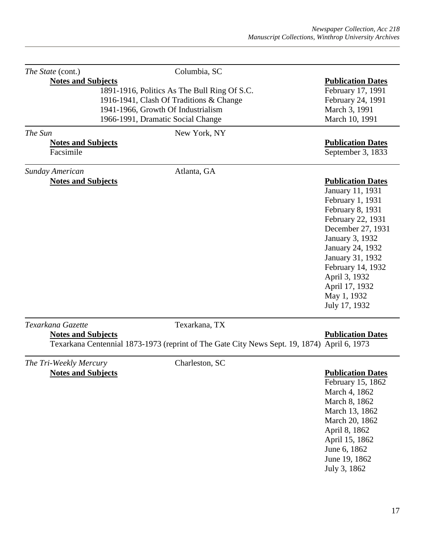| The State (cont.)<br><b>Notes and Subjects</b> | Columbia, SC                                                                                | <b>Publication Dates</b> |
|------------------------------------------------|---------------------------------------------------------------------------------------------|--------------------------|
|                                                | 1891-1916, Politics As The Bull Ring Of S.C.                                                | February 17, 1991        |
|                                                | 1916-1941, Clash Of Traditions & Change                                                     | February 24, 1991        |
|                                                | 1941-1966, Growth Of Industrialism                                                          | March 3, 1991            |
|                                                | 1966-1991, Dramatic Social Change                                                           | March 10, 1991           |
|                                                |                                                                                             |                          |
| The Sun                                        | New York, NY                                                                                |                          |
| <b>Notes and Subjects</b>                      |                                                                                             | <b>Publication Dates</b> |
| Facsimile                                      |                                                                                             | September 3, 1833        |
| Sunday American                                | Atlanta, GA                                                                                 |                          |
| <b>Notes and Subjects</b>                      |                                                                                             | <b>Publication Dates</b> |
|                                                |                                                                                             | January 11, 1931         |
|                                                |                                                                                             | February 1, 1931         |
|                                                |                                                                                             | February 8, 1931         |
|                                                |                                                                                             | February 22, 1931        |
|                                                |                                                                                             | December 27, 1931        |
|                                                |                                                                                             | January 3, 1932          |
|                                                |                                                                                             | January 24, 1932         |
|                                                |                                                                                             | January 31, 1932         |
|                                                |                                                                                             | February 14, 1932        |
|                                                |                                                                                             | April 3, 1932            |
|                                                |                                                                                             | April 17, 1932           |
|                                                |                                                                                             | May 1, 1932              |
|                                                |                                                                                             | July 17, 1932            |
|                                                |                                                                                             |                          |
| Texarkana Gazette                              | Texarkana, TX                                                                               |                          |
| <b>Notes and Subjects</b>                      |                                                                                             | <b>Publication Dates</b> |
|                                                | Texarkana Centennial 1873-1973 (reprint of The Gate City News Sept. 19, 1874) April 6, 1973 |                          |
| The Tri-Weekly Mercury                         | Charleston, SC                                                                              |                          |
| <b>Notes and Subjects</b>                      |                                                                                             | <b>Publication Dates</b> |
|                                                |                                                                                             | February 15, 1862        |

February 15, 1862 March 4, 1862 March 8, 1862 March 13, 1862 March 20, 1862 April 8, 1862 April 15, 1862 June 6, 1862 June 19, 1862 July 3, 1862